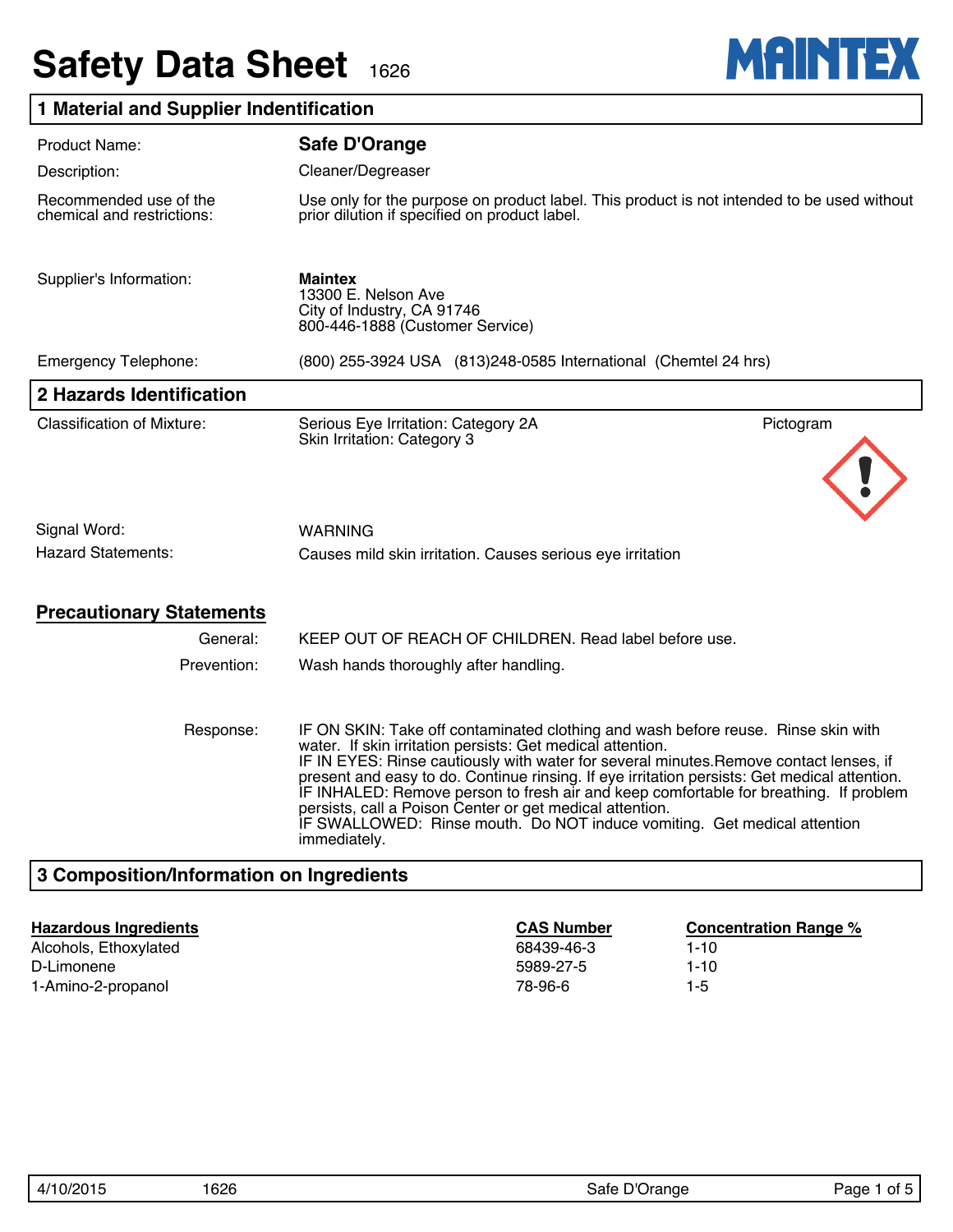# **Safety Data Sheet 1626**



## **1 Material and Supplier Indentification**

| <b>Product Name:</b>                                 | Safe D'Orange                                                                                                                                                                                                                                                                                                                                                                                                                                                                                                                                                                              |  |  |
|------------------------------------------------------|--------------------------------------------------------------------------------------------------------------------------------------------------------------------------------------------------------------------------------------------------------------------------------------------------------------------------------------------------------------------------------------------------------------------------------------------------------------------------------------------------------------------------------------------------------------------------------------------|--|--|
| Description:                                         | Cleaner/Degreaser                                                                                                                                                                                                                                                                                                                                                                                                                                                                                                                                                                          |  |  |
| Recommended use of the<br>chemical and restrictions: | Use only for the purpose on product label. This product is not intended to be used without<br>prior dilution if specified on product label.                                                                                                                                                                                                                                                                                                                                                                                                                                                |  |  |
| Supplier's Information:                              | <b>Maintex</b><br>13300 E. Nelson Ave<br>City of Industry, CA 91746<br>800-446-1888 (Customer Service)                                                                                                                                                                                                                                                                                                                                                                                                                                                                                     |  |  |
| <b>Emergency Telephone:</b>                          | (800) 255-3924 USA (813) 248-0585 International (Chemtel 24 hrs)                                                                                                                                                                                                                                                                                                                                                                                                                                                                                                                           |  |  |
| 2 Hazards Identification                             |                                                                                                                                                                                                                                                                                                                                                                                                                                                                                                                                                                                            |  |  |
| <b>Classification of Mixture:</b>                    | Serious Eye Irritation: Category 2A<br>Pictogram<br>Skin Irritation: Category 3                                                                                                                                                                                                                                                                                                                                                                                                                                                                                                            |  |  |
| Signal Word:                                         | WARNING                                                                                                                                                                                                                                                                                                                                                                                                                                                                                                                                                                                    |  |  |
| <b>Hazard Statements:</b>                            | Causes mild skin irritation. Causes serious eye irritation                                                                                                                                                                                                                                                                                                                                                                                                                                                                                                                                 |  |  |
| <b>Precautionary Statements</b>                      |                                                                                                                                                                                                                                                                                                                                                                                                                                                                                                                                                                                            |  |  |
| General:                                             | KEEP OUT OF REACH OF CHILDREN. Read label before use.                                                                                                                                                                                                                                                                                                                                                                                                                                                                                                                                      |  |  |
| Prevention:                                          | Wash hands thoroughly after handling.                                                                                                                                                                                                                                                                                                                                                                                                                                                                                                                                                      |  |  |
| Response:                                            | IF ON SKIN: Take off contaminated clothing and wash before reuse. Rinse skin with<br>water. If skin irritation persists: Get medical attention.<br>IF IN EYES: Rinse cautiously with water for several minutes. Remove contact lenses, if<br>present and easy to do. Continue rinsing. If eye irritation persists: Get medical attention.<br>IF INHALED: Remove person to fresh air and keep comfortable for breathing. If problem<br>persists, call a Poison Center or get medical attention.<br>IF SWALLOWED: Rinse mouth. Do NOT induce vomiting. Get medical attention<br>immediately. |  |  |
| 3 Composition/Information on Ingredients             |                                                                                                                                                                                                                                                                                                                                                                                                                                                                                                                                                                                            |  |  |

Alcohols, Ethoxylated **1-10** 68439-46-3 1-10 D-Limonene 1-10 1-Amino-2-propanol 1-5

**Hazardous Ingredients CAS Number Concentration Range %**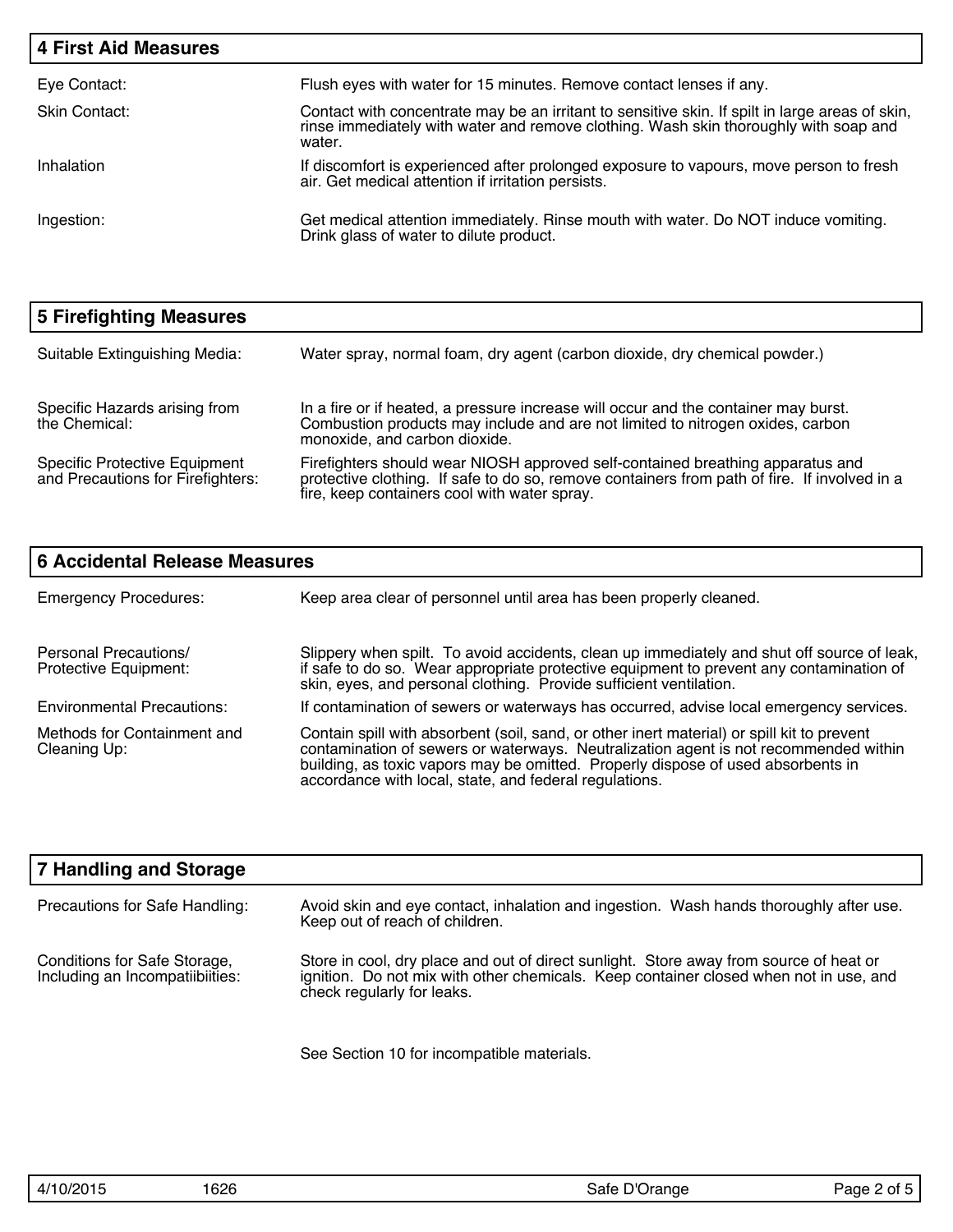| <b>4 First Aid Measures</b> |                                                                                                                                                                                                   |
|-----------------------------|---------------------------------------------------------------------------------------------------------------------------------------------------------------------------------------------------|
| Eye Contact:                | Flush eyes with water for 15 minutes. Remove contact lenses if any.                                                                                                                               |
| Skin Contact:               | Contact with concentrate may be an irritant to sensitive skin. If spilt in large areas of skin,<br>rinse immediately with water and remove clothing. Wash skin thoroughly with soap and<br>water. |
| Inhalation                  | If discomfort is experienced after prolonged exposure to vapours, move person to fresh<br>air. Get medical attention if irritation persists.                                                      |
| Ingestion:                  | Get medical attention immediately. Rinse mouth with water. Do NOT induce vomiting.<br>Drink glass of water to dilute product.                                                                     |

| 5 Firefighting Measures                                                   |                                                                                                                                                                                                                                |
|---------------------------------------------------------------------------|--------------------------------------------------------------------------------------------------------------------------------------------------------------------------------------------------------------------------------|
| Suitable Extinguishing Media:                                             | Water spray, normal foam, dry agent (carbon dioxide, dry chemical powder.)                                                                                                                                                     |
| Specific Hazards arising from<br>the Chemical:                            | In a fire or if heated, a pressure increase will occur and the container may burst.<br>Combustion products may include and are not limited to nitrogen oxides, carbon<br>monoxide, and carbon dioxide.                         |
| <b>Specific Protective Equipment</b><br>and Precautions for Firefighters: | Firefighters should wear NIOSH approved self-contained breathing apparatus and<br>protective clothing. If safe to do so, remove containers from path of fire. If involved in a<br>fire, keep containers cool with water spray. |

| <b>6 Accidental Release Measures</b>           |                                                                                                                                                                                                                                                                                                                                  |  |  |
|------------------------------------------------|----------------------------------------------------------------------------------------------------------------------------------------------------------------------------------------------------------------------------------------------------------------------------------------------------------------------------------|--|--|
| <b>Emergency Procedures:</b>                   | Keep area clear of personnel until area has been properly cleaned.                                                                                                                                                                                                                                                               |  |  |
| Personal Precautions/<br>Protective Equipment: | Slippery when spilt. To avoid accidents, clean up immediately and shut off source of leak,<br>if safe to do so. Wear appropriate protective equipment to prevent any contamination of<br>skin, eyes, and personal clothing. Provide sufficient ventilation.                                                                      |  |  |
| <b>Environmental Precautions:</b>              | If contamination of sewers or waterways has occurred, advise local emergency services.                                                                                                                                                                                                                                           |  |  |
| Methods for Containment and<br>Cleaning Up:    | Contain spill with absorbent (soil, sand, or other inert material) or spill kit to prevent<br>contamination of sewers or waterways. Neutralization agent is not recommended within<br>building, as toxic vapors may be omitted. Properly dispose of used absorbents in<br>accordance with local, state, and federal regulations. |  |  |

| <b>7 Handling and Storage</b>                                   |                                                                                                                                                                                                               |
|-----------------------------------------------------------------|---------------------------------------------------------------------------------------------------------------------------------------------------------------------------------------------------------------|
| Precautions for Safe Handling:                                  | Avoid skin and eye contact, inhalation and ingestion. Wash hands thoroughly after use.<br>Keep out of reach of children.                                                                                      |
| Conditions for Safe Storage,<br>Including an Incompatiibiities: | Store in cool, dry place and out of direct sunlight. Store away from source of heat or<br>ignition. Do not mix with other chemicals. Keep container closed when not in use, and<br>check regularly for leaks. |

See Section 10 for incompatible materials.

| 4/10/2015 | 16 |
|-----------|----|
|           |    |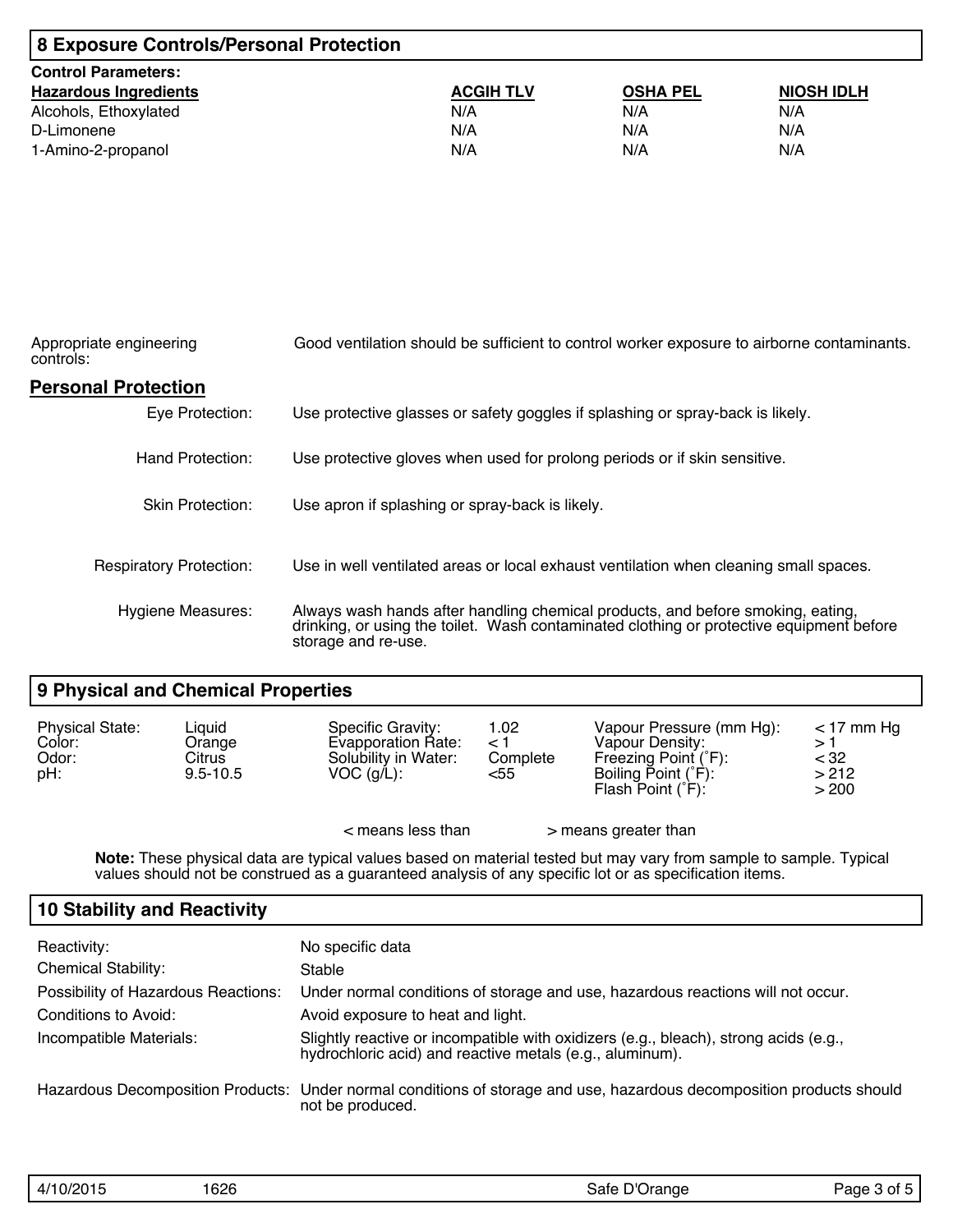| 8 Exposure Controls/Personal Protection |                  |                 |                   |  |
|-----------------------------------------|------------------|-----------------|-------------------|--|
| <b>Control Parameters:</b>              |                  |                 |                   |  |
| <b>Hazardous Ingredients</b>            | <b>ACGIH TLV</b> | <b>OSHA PEL</b> | <b>NIOSH IDLH</b> |  |
| Alcohols, Ethoxylated                   | N/A              | N/A             | N/A               |  |
| D-Limonene                              | N/A              | N/A             | N/A               |  |
| 1-Amino-2-propanol                      | N/A              | N/A             | N/A               |  |

| Appropriate engineering<br>controls: | Good ventilation should be sufficient to control worker exposure to airborne contaminants.                                                                                                         |
|--------------------------------------|----------------------------------------------------------------------------------------------------------------------------------------------------------------------------------------------------|
| <b>Personal Protection</b>           |                                                                                                                                                                                                    |
| Eye Protection:                      | Use protective glasses or safety goggles if splashing or spray-back is likely.                                                                                                                     |
| Hand Protection:                     | Use protective gloves when used for prolong periods or if skin sensitive.                                                                                                                          |
| <b>Skin Protection:</b>              | Use apron if splashing or spray-back is likely.                                                                                                                                                    |
| <b>Respiratory Protection:</b>       | Use in well ventilated areas or local exhaust ventilation when cleaning small spaces.                                                                                                              |
| <b>Hygiene Measures:</b>             | Always wash hands after handling chemical products, and before smoking, eating,<br>drinking, or using the toilet. Wash contaminated clothing or protective equipment before<br>storage and re-use. |

## **9 Physical and Chemical Properties**

| <b>Physical State:</b><br>Color:<br>Odor:<br>pH: | Liquid<br>Orange<br>Citrus<br>$9.5 - 10.5$ | Specific Gravity:<br><b>Evapporation Rate:</b><br>Solubility in Water:<br>$VOC$ (g/L): | 1.02<br>⊂ 1<br>Complete<br><55 | Vapour Pressure (mm Hg):<br>Vapour Density:<br>Freezing Point (°F):<br>Boiling Point (°F):<br>Flash Point $(F)$ : | $<$ 17 mm Hq<br>> 1<br>$<$ 32<br>>212<br>> 200 |
|--------------------------------------------------|--------------------------------------------|----------------------------------------------------------------------------------------|--------------------------------|-------------------------------------------------------------------------------------------------------------------|------------------------------------------------|
|                                                  |                                            | $<$ means less than                                                                    |                                | > means greater than                                                                                              |                                                |

**Note:** These physical data are typical values based on material tested but may vary from sample to sample. Typical values should not be construed as a guaranteed analysis of any specific lot or as specification items.

#### **10 Stability and Reactivity**

| Reactivity:<br><b>Chemical Stability:</b> | No specific data<br>Stable                                                                                                                       |
|-------------------------------------------|--------------------------------------------------------------------------------------------------------------------------------------------------|
| Possibility of Hazardous Reactions:       | Under normal conditions of storage and use, hazardous reactions will not occur.                                                                  |
|                                           |                                                                                                                                                  |
| Conditions to Avoid:                      | Avoid exposure to heat and light.                                                                                                                |
| Incompatible Materials:                   | Slightly reactive or incompatible with oxidizers (e.g., bleach), strong acids (e.g.,<br>hydrochloric acid) and reactive metals (e.g., aluminum). |
|                                           | Hazardous Decomposition Products: Under normal conditions of storage and use, hazardous decomposition products should<br>not be produced.        |

| '10/2015<br>$\Lambda$ /1 | 1626<br>___ | Safe D<br>Orange | 1022<br>Ωt<br>aae |
|--------------------------|-------------|------------------|-------------------|
|                          |             |                  |                   |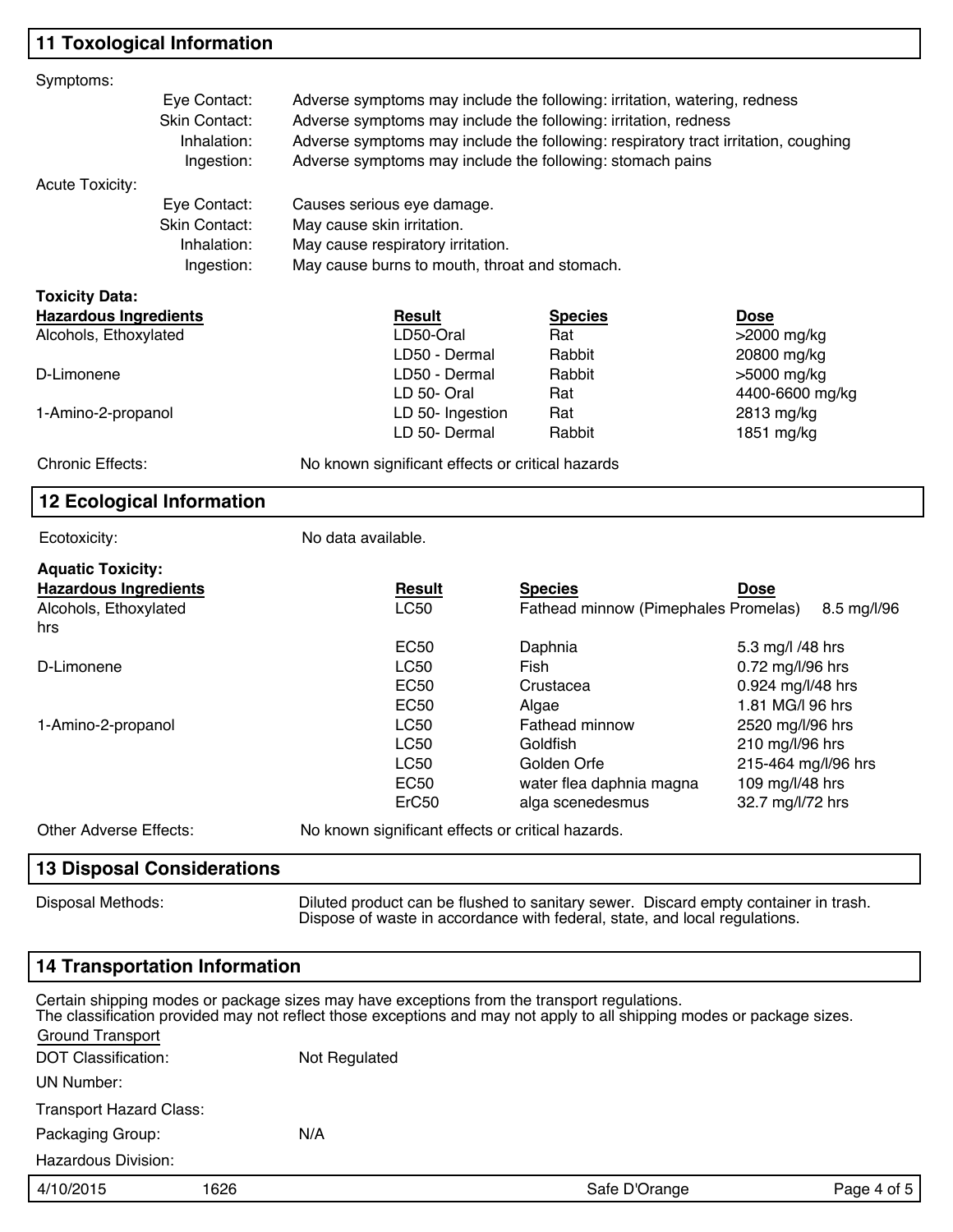## **11 Toxological Information**

| Symptoms:                        |                                                                             |                                                                           |                                                  |                                                                                    |                     |  |  |
|----------------------------------|-----------------------------------------------------------------------------|---------------------------------------------------------------------------|--------------------------------------------------|------------------------------------------------------------------------------------|---------------------|--|--|
|                                  | Eye Contact:                                                                | Adverse symptoms may include the following: irritation, watering, redness |                                                  |                                                                                    |                     |  |  |
|                                  | Skin Contact:                                                               | Adverse symptoms may include the following: irritation, redness           |                                                  |                                                                                    |                     |  |  |
|                                  | Inhalation:                                                                 |                                                                           |                                                  | Adverse symptoms may include the following: respiratory tract irritation, coughing |                     |  |  |
|                                  | Ingestion:                                                                  |                                                                           |                                                  | Adverse symptoms may include the following: stomach pains                          |                     |  |  |
| <b>Acute Toxicity:</b>           |                                                                             |                                                                           |                                                  |                                                                                    |                     |  |  |
|                                  | Eye Contact:                                                                |                                                                           | Causes serious eye damage.                       |                                                                                    |                     |  |  |
|                                  | Skin Contact:                                                               |                                                                           | May cause skin irritation.                       |                                                                                    |                     |  |  |
|                                  | Inhalation:                                                                 |                                                                           | May cause respiratory irritation.                |                                                                                    |                     |  |  |
|                                  | Ingestion:                                                                  |                                                                           | May cause burns to mouth, throat and stomach.    |                                                                                    |                     |  |  |
| <b>Toxicity Data:</b>            |                                                                             |                                                                           |                                                  |                                                                                    |                     |  |  |
| <b>Hazardous Ingredients</b>     |                                                                             |                                                                           | <b>Result</b>                                    | <b>Species</b>                                                                     | <b>Dose</b>         |  |  |
| Alcohols, Ethoxylated            |                                                                             |                                                                           | LD50-Oral                                        | Rat                                                                                | >2000 mg/kg         |  |  |
|                                  |                                                                             |                                                                           | LD50 - Dermal                                    | Rabbit                                                                             | 20800 mg/kg         |  |  |
| D-Limonene                       |                                                                             |                                                                           | LD50 - Dermal                                    | Rabbit                                                                             | >5000 mg/kg         |  |  |
|                                  |                                                                             |                                                                           | LD 50- Oral                                      | Rat                                                                                | 4400-6600 mg/kg     |  |  |
| 1-Amino-2-propanol               |                                                                             |                                                                           | LD 50- Ingestion                                 | Rat                                                                                | 2813 mg/kg          |  |  |
|                                  |                                                                             |                                                                           | LD 50- Dermal                                    | Rabbit                                                                             | 1851 mg/kg          |  |  |
| <b>Chronic Effects:</b>          |                                                                             |                                                                           | No known significant effects or critical hazards |                                                                                    |                     |  |  |
| <b>12 Ecological Information</b> |                                                                             |                                                                           |                                                  |                                                                                    |                     |  |  |
| Ecotoxicity:                     |                                                                             | No data available.                                                        |                                                  |                                                                                    |                     |  |  |
| <b>Aquatic Toxicity:</b>         |                                                                             |                                                                           |                                                  |                                                                                    |                     |  |  |
| <b>Hazardous Ingredients</b>     |                                                                             |                                                                           | <b>Result</b>                                    | <b>Species</b>                                                                     | <b>Dose</b>         |  |  |
| Alcohols, Ethoxylated            |                                                                             |                                                                           | <b>LC50</b>                                      | Fathead minnow (Pimephales Promelas)                                               | 8.5 mg/l/96         |  |  |
| hrs                              |                                                                             |                                                                           |                                                  |                                                                                    |                     |  |  |
|                                  |                                                                             |                                                                           | <b>EC50</b>                                      | Daphnia                                                                            | 5.3 mg/l /48 hrs    |  |  |
| D-Limonene                       |                                                                             |                                                                           | <b>LC50</b>                                      | Fish                                                                               | 0.72 mg/l/96 hrs    |  |  |
|                                  |                                                                             |                                                                           | <b>EC50</b>                                      | Crustacea                                                                          | 0.924 mg/l/48 hrs   |  |  |
|                                  |                                                                             |                                                                           | EC <sub>50</sub>                                 | Algae                                                                              | 1.81 MG/I 96 hrs    |  |  |
| 1-Amino-2-propanol               |                                                                             |                                                                           | <b>LC50</b>                                      | <b>Fathead minnow</b>                                                              | 2520 mg/l/96 hrs    |  |  |
|                                  |                                                                             |                                                                           | <b>LC50</b>                                      | Goldfish                                                                           | 210 mg/l/96 hrs     |  |  |
|                                  |                                                                             |                                                                           | <b>LC50</b>                                      | Golden Orfe                                                                        | 215-464 mg/l/96 hrs |  |  |
|                                  |                                                                             |                                                                           | <b>EC50</b>                                      | water flea daphnia magna                                                           | 109 mg/l/48 hrs     |  |  |
|                                  |                                                                             |                                                                           | ErC50                                            | alga scenedesmus                                                                   | 32.7 mg/l/72 hrs    |  |  |
|                                  | Other Adverse Effects:<br>No known significant effects or critical hazards. |                                                                           |                                                  |                                                                                    |                     |  |  |
|                                  | 12 Dienocol Considerations                                                  |                                                                           |                                                  |                                                                                    |                     |  |  |

#### **13 Disposal Considerations**

Disposal Methods: Diluted product can be flushed to sanitary sewer. Discard empty container in trash. Dispose of waste in accordance with federal, state, and local regulations.

#### **14 Transportation Information**

| Ground Transport               |      | Certain shipping modes or package sizes may have exceptions from the transport regulations. | The classification provided may not reflect those exceptions and may not apply to all shipping modes or package sizes. |             |
|--------------------------------|------|---------------------------------------------------------------------------------------------|------------------------------------------------------------------------------------------------------------------------|-------------|
| DOT Classification:            |      | Not Regulated                                                                               |                                                                                                                        |             |
| UN Number:                     |      |                                                                                             |                                                                                                                        |             |
| <b>Transport Hazard Class:</b> |      |                                                                                             |                                                                                                                        |             |
| Packaging Group:               |      | N/A                                                                                         |                                                                                                                        |             |
| Hazardous Division:            |      |                                                                                             |                                                                                                                        |             |
| 4/10/2015                      | 1626 |                                                                                             | Safe D'Orange                                                                                                          | Page 4 of 5 |